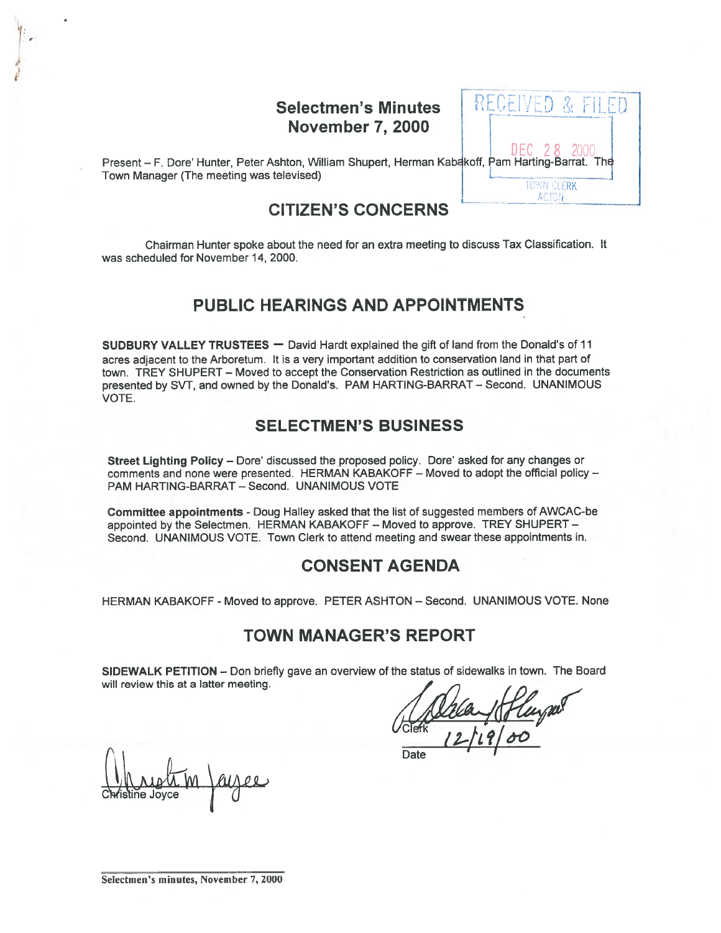# Selectmen's Minutes November 7, 2000

|  | EGENED &<br>ŀΙ                                             |
|--|------------------------------------------------------------|
|  | <b>EC</b> 28 2000<br><b>akoff, Pam Harting-Barrat. The</b> |
|  | <b>TOWN CLERK</b><br>ACTON                                 |

Present - F. Dore' Hunter, Peter Ashton, William Shupert, Herman Kab Town Manager (The meeting was televised)

# CITIZEN'S CONCERNS

Chairman Hunter spoke about the need for an extra meeting to discuss Tax Classification. It was scheduled for November 14, 2000.

# PUBLIC HEARINGS AND APPOINTMENTS

SUDBURY VALLEY TRUSTEES — David Hardt explained the gift of land from the Donald's of 11 acres adjacent to the Arboretum. It is <sup>a</sup> very important addition to conservation land in that par<sup>t</sup> of town. TREY SHUPERT — Moved to accep<sup>t</sup> the Conservation Restriction as outlined in the documents presented by SVT, and owned by the Donald's. PAM HARTING-BARRAT — Second. UNANIMOUS VOTE.

# SELECTMEN'S BUSINESS

Street Lighting Policy – Dore' discussed the proposed policy. Dore' asked for any changes or comments and none were presented. HERMAN KABAKOFF — Moved to adopt the official policy — PAM HARTING-BARRAT - Second. UNANIMOUS VOTE

Committee appointments - Doug Halley asked that the list of suggested members of AWCAC-be appointed by the Selectmen. HERMAN KABAKOFF — Moved to approve. TREY SHUPERT — Second. UNANIMOUS VOTE. Town Clerk to attend meeting and swear these appointments in.

# CONSENT AGENDA

HERMAN KABAKOFF -Moved to approve. PETER ASHTON — Second. UNANIMOUS VOTE. None

## TOWN MANAGER'S REPORT

SIDEWALK PETITION — Don briefly gave an overview of the status of sidewalks in town. The Board will review this at <sup>a</sup> latter meeting.

C**lv**fistine Joyce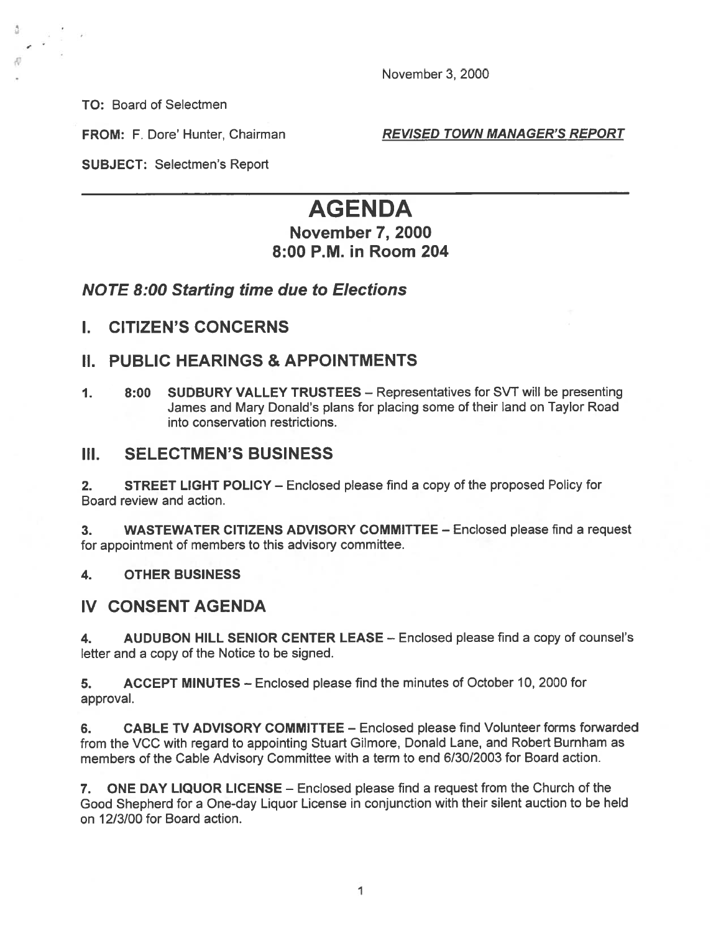November 3, 2000

TO: Board of Selectmen

FROM: F. Dore' Hunter, Chairman REVISED TOWN MANAGER'S REPORT

SUBJECT: Selectmen's Report

# AGENDA

# November 7, 2000 8:00 P.M. in Room 204

# NOTE 8:00 Starting time due to Elections

I. CITIZEN'S CONCERNS

# II. PUBLIC HEARINGS & APPOINTMENTS

1. 8:00 SUDBURY VALLEY TRUSTEES – Representatives for SVT will be presenting James and Mary Donald's <sup>p</sup>lans for <sup>p</sup>lacing some of their land on Taylor Road into conservation restrictions.

## III. SELECTMEN'S BUSINESS

2. STREET LIGHT POLICY — Enclosed please find <sup>a</sup> copy of the proposed Policy for Board review and action.

3. WASTEWATER CITIZENS ADVISORY COMMITTEE — Enclosed please find <sup>a</sup> reques<sup>t</sup> for appointment of members to this advisory committee.

#### 4. OTHER BUSINESS

## IV CONSENT AGENDA

4. AUDUBON HILL SENIOR CENTER LEASE — Enclosed please find <sup>a</sup> copy of counsel's letter and <sup>a</sup> copy of the Notice to be signed.

5. ACCEPT MINUTES — Enclosed please find the minutes of October 10, 2000 for approval.

6. CABLE TV ADVISORY COMMITTEE - Enclosed please find Volunteer forms forwarded from the VCC with regard to appointing Stuart Gilmore, Donald Lane, and Robert Burnham as members of the Cable Advisory Committee with <sup>a</sup> term to end 6/30/2003 for Board action.

7. ONE DAY LIQUOR LICENSE — Enclosed please find <sup>a</sup> reques<sup>t</sup> from the Church of the Good Shepherd for <sup>a</sup> One-day Liquor License in conjunction with their silent auction to be held on 12/3/00 for Board action.